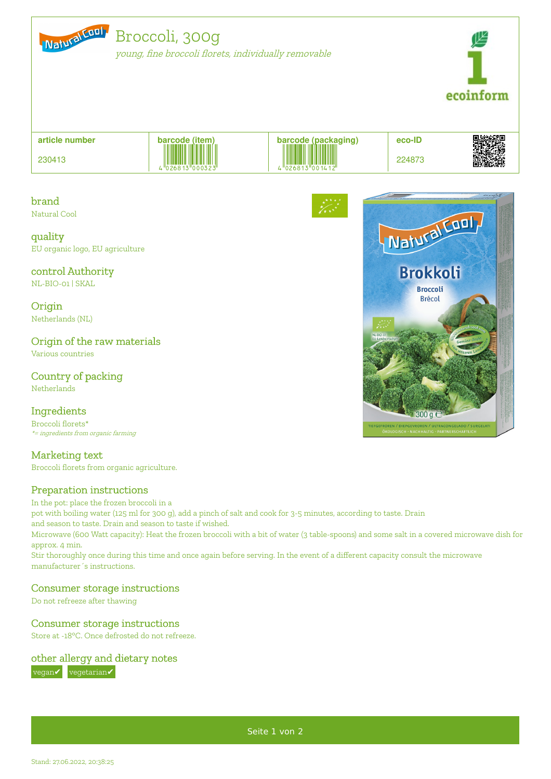

# Broccoli, 300g

young, fine broccoli florets, individually removable



| article number | barcode (item)                            |                 | eco-ID |                         |
|----------------|-------------------------------------------|-----------------|--------|-------------------------|
| 230413         | <b>THE TELEVISION</b><br>."026813"000323" | "026813"001412" | 224873 | ■装飾器<br>などの特徴<br>■複数の特徴 |

# brand

Natural Cool

quality EU organic logo, EU agriculture

# control Authority

NL-BIO-01 | SKAL

**Origin** Netherlands (NL)

# Origin of the raw materials

Various countries

#### Country of packing Netherlands

#### Ingredients

Broccoli florets\* \*= ingredients from organic farming

# Marketing text

Broccoli florets from organic agriculture.

# Preparation instructions

In the pot: place the frozen broccoli in a

pot with boiling water (125 ml for 300 g), add a pinch of salt and cook for 3-5 minutes, according to taste. Drain

and season to taste. Drain and season to taste if wished.

Microwave (600 Watt capacity): Heat the frozen broccoli with a bit of water (3 table-spoons) and some salt in a covered microwave dish for approx. 4 min.

Stir thoroughly once during this time and once again before serving. In the event of a different capacity consult the microwave manufacturer´s instructions.

#### Consumer storage instructions

Do not refreeze after thawing

# Consumer storage instructions

Store at -18°C. Once defrosted do not refreeze.

# other allergy and dietary notes

**vegan** vegetarian



Seite 1 von 2